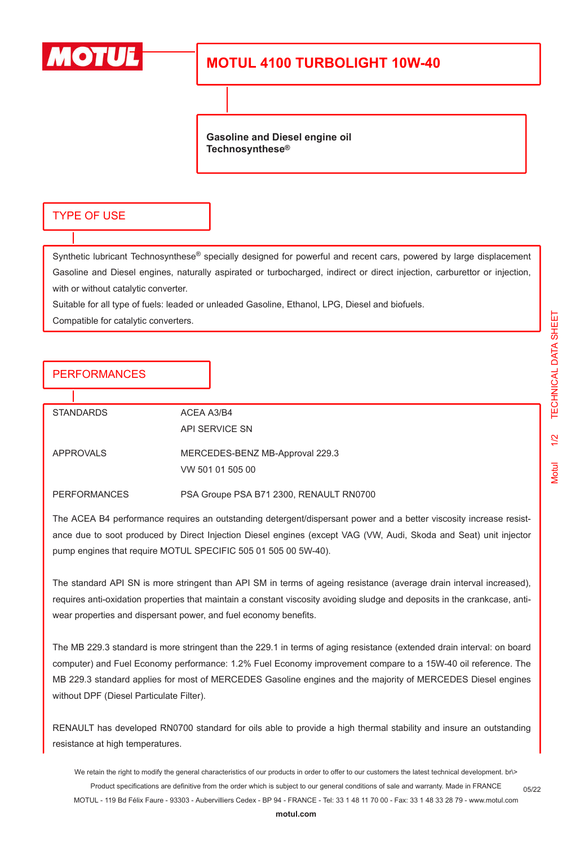

## **MOTUL 4100 TURBOLIGHT 10W-40**

**Gasoline and Diesel engine oil Technosynthese®**

#### TYPE OF USE

Synthetic lubricant Technosynthese® specially designed for powerful and recent cars, powered by large displacement Gasoline and Diesel engines, naturally aspirated or turbocharged, indirect or direct injection, carburettor or injection, with or without catalytic converter.

Suitable for all type of fuels: leaded or unleaded Gasoline, Ethanol, LPG, Diesel and biofuels.

Compatible for catalytic converters.

### PERFORMANCES

| <b>STANDARDS</b>    | ACEA A3/B4<br>API SERVICE SN                        |
|---------------------|-----------------------------------------------------|
| APPROVALS           | MERCEDES-BENZ MB-Approval 229.3<br>VW 501 01 505 00 |
| <b>PERFORMANCES</b> | PSA Groupe PSA B71 2300, RENAULT RN0700             |

The ACEA B4 performance requires an outstanding detergent/dispersant power and a better viscosity increase resistance due to soot produced by Direct Injection Diesel engines (except VAG (VW, Audi, Skoda and Seat) unit injector pump engines that require MOTUL SPECIFIC 505 01 505 00 5W-40).

The standard API SN is more stringent than API SM in terms of ageing resistance (average drain interval increased), requires anti-oxidation properties that maintain a constant viscosity avoiding sludge and deposits in the crankcase, antiwear properties and dispersant power, and fuel economy benefits.

The MB 229.3 standard is more stringent than the 229.1 in terms of aging resistance (extended drain interval: on board computer) and Fuel Economy performance: 1.2% Fuel Economy improvement compare to a 15W-40 oil reference. The MB 229.3 standard applies for most of MERCEDES Gasoline engines and the majority of MERCEDES Diesel engines without DPF (Diesel Particulate Filter).

RENAULT has developed RN0700 standard for oils able to provide a high thermal stability and insure an outstanding resistance at high temperatures.

We retain the right to modify the general characteristics of our products in order to offer to our customers the latest technical development. br\> Product specifications are definitive from the order which is subject to our general conditions of sale and warranty. Made in FRANCE MOTUL - 119 Bd Félix Faure - 93303 - Aubervilliers Cedex - BP 94 - FRANCE - Tel: 33 1 48 11 70 00 - Fax: 33 1 48 33 28 79 - www.motul.com 05/22